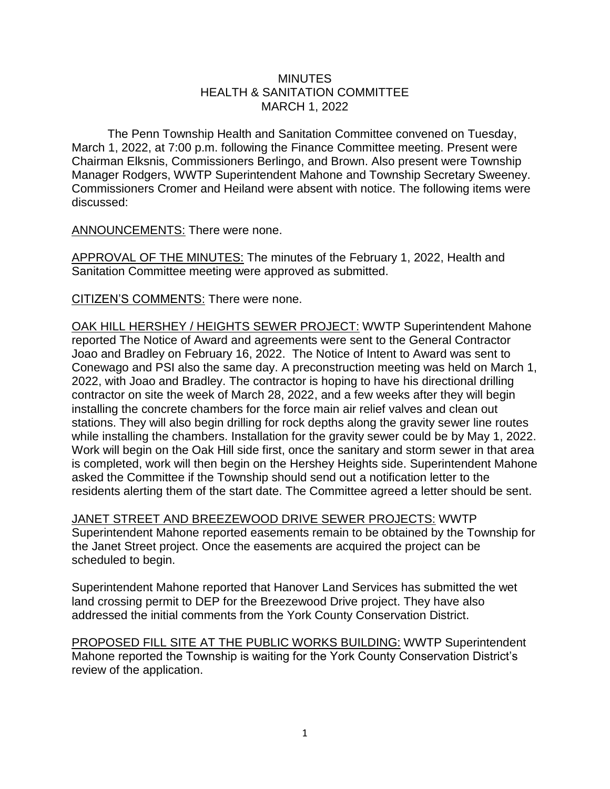## **MINUTES** HEALTH & SANITATION COMMITTEE MARCH 1, 2022

The Penn Township Health and Sanitation Committee convened on Tuesday, March 1, 2022, at 7:00 p.m. following the Finance Committee meeting. Present were Chairman Elksnis, Commissioners Berlingo, and Brown. Also present were Township Manager Rodgers, WWTP Superintendent Mahone and Township Secretary Sweeney. Commissioners Cromer and Heiland were absent with notice. The following items were discussed:

ANNOUNCEMENTS: There were none.

APPROVAL OF THE MINUTES: The minutes of the February 1, 2022, Health and Sanitation Committee meeting were approved as submitted.

CITIZEN'S COMMENTS: There were none.

OAK HILL HERSHEY / HEIGHTS SEWER PROJECT: WWTP Superintendent Mahone reported The Notice of Award and agreements were sent to the General Contractor Joao and Bradley on February 16, 2022. The Notice of Intent to Award was sent to Conewago and PSI also the same day. A preconstruction meeting was held on March 1, 2022, with Joao and Bradley. The contractor is hoping to have his directional drilling contractor on site the week of March 28, 2022, and a few weeks after they will begin installing the concrete chambers for the force main air relief valves and clean out stations. They will also begin drilling for rock depths along the gravity sewer line routes while installing the chambers. Installation for the gravity sewer could be by May 1, 2022. Work will begin on the Oak Hill side first, once the sanitary and storm sewer in that area is completed, work will then begin on the Hershey Heights side. Superintendent Mahone asked the Committee if the Township should send out a notification letter to the residents alerting them of the start date. The Committee agreed a letter should be sent.

JANET STREET AND BREEZEWOOD DRIVE SEWER PROJECTS: WWTP Superintendent Mahone reported easements remain to be obtained by the Township for the Janet Street project. Once the easements are acquired the project can be scheduled to begin.

Superintendent Mahone reported that Hanover Land Services has submitted the wet land crossing permit to DEP for the Breezewood Drive project. They have also addressed the initial comments from the York County Conservation District.

PROPOSED FILL SITE AT THE PUBLIC WORKS BUILDING: WWTP Superintendent Mahone reported the Township is waiting for the York County Conservation District's review of the application.